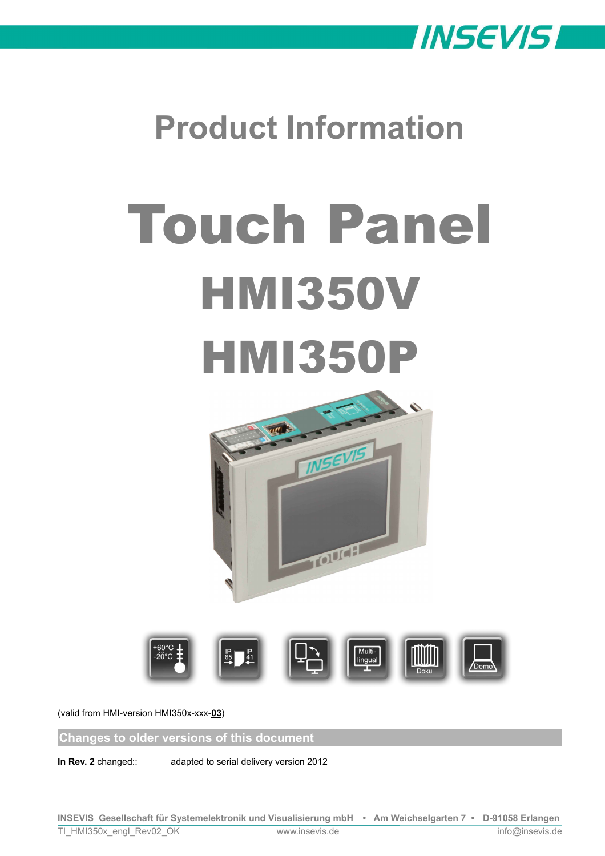

# **Product Information**

# Touch Panel **HMI350V HMI350P**





(valid from HMI-version HMI350x-xxx-**03**)

**Changes to older versions of this document**

**In Rev. 2** changed:: adapted to serial delivery version 2012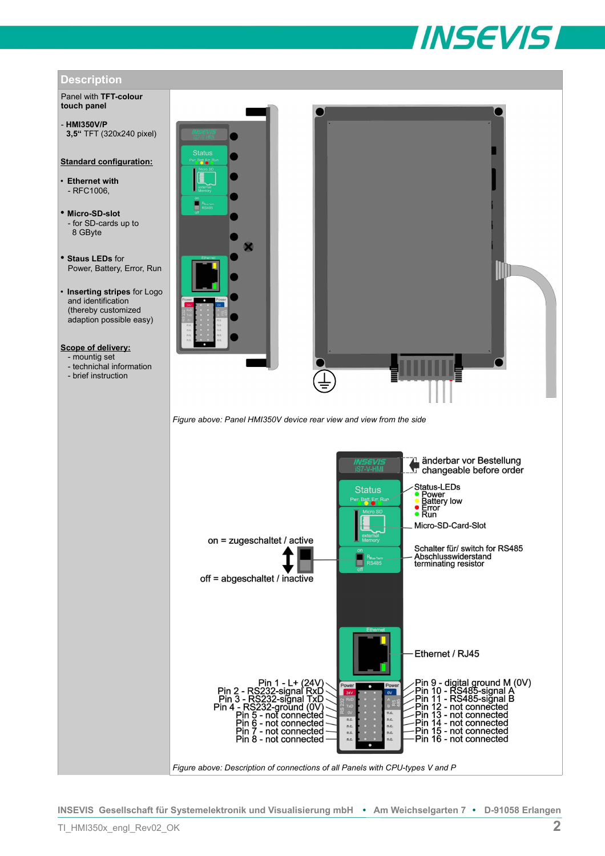



Panel with **TFT-colour touch panel**

- **HMI350V/P 3,5"** TFT (320x240 pixel)

### **Standard configuration:**

• **Ethernet with** - RFC1006,

- **Micro-SD-slot** - for SD-cards up to 8 GByte
- **Staus LEDs** for Power, Battery, Error, Run
- **Inserting stripes** for Logo and identification (thereby customized adaption possible easy)
- **Scope of delivery:**
- mountig set
- technichal information
- brief instruction





*Figure above: Panel HMI350V device rear view and view from the side*

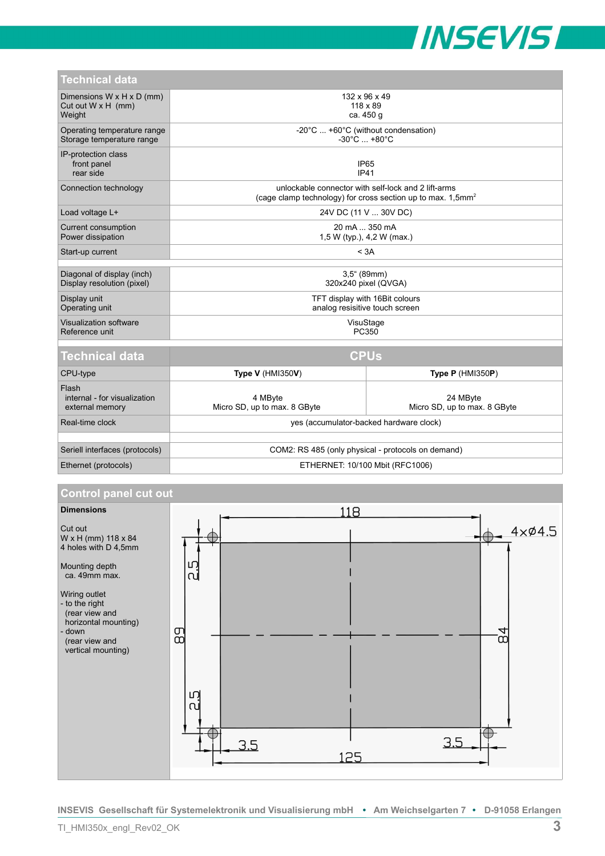

| <b>Technical data</b>                                            |                                                                                                                                   |                                          |
|------------------------------------------------------------------|-----------------------------------------------------------------------------------------------------------------------------------|------------------------------------------|
| Dimensions W x H x D (mm)<br>Cut out $W \times H$ (mm)<br>Weight | 132 x 96 x 49<br>$118 \times 89$<br>ca. 450 g                                                                                     |                                          |
| Operating temperature range<br>Storage temperature range         | -20°C  +60°C (without condensation)<br>$-30^{\circ}$ C $ + 80^{\circ}$ C                                                          |                                          |
| IP-protection class<br>front panel<br>rear side                  | IP <sub>65</sub><br><b>IP41</b>                                                                                                   |                                          |
| Connection technology                                            | unlockable connector with self-lock and 2 lift-arms<br>(cage clamp technology) for cross section up to max. $1,5$ mm <sup>2</sup> |                                          |
| Load voltage L+                                                  | 24V DC (11 V  30V DC)                                                                                                             |                                          |
| Current consumption<br>Power dissipation                         | 20 mA  350 mA<br>1,5 W (typ.), 4,2 W (max.)                                                                                       |                                          |
| Start-up current                                                 | < 3A                                                                                                                              |                                          |
| Diagonal of display (inch)                                       | $3,5^{\circ}$ (89mm)                                                                                                              |                                          |
| Display resolution (pixel)                                       | 320x240 pixel (QVGA)                                                                                                              |                                          |
| Display unit<br>Operating unit                                   | TFT display with 16Bit colours<br>analog resisitive touch screen                                                                  |                                          |
| Visualization software<br>Reference unit                         | VisuStage<br>PC350                                                                                                                |                                          |
| <b>Technical data</b>                                            | <b>CPUs</b>                                                                                                                       |                                          |
| CPU-type                                                         | <b>Type V (HMI350V)</b>                                                                                                           | Type $P$ (HMI350P)                       |
| Flash<br>internal - for visualization<br>external memory         | 4 MByte<br>Micro SD, up to max. 8 GByte                                                                                           | 24 MByte<br>Micro SD, up to max. 8 GByte |
| Real-time clock                                                  | yes (accumulator-backed hardware clock)                                                                                           |                                          |
|                                                                  |                                                                                                                                   |                                          |
| Seriell interfaces (protocols)                                   | COM2: RS 485 (only physical - protocols on demand)                                                                                |                                          |
| Ethernet (protocols)                                             | ETHERNET: 10/100 Mbit (RFC1006)                                                                                                   |                                          |

# **Control panel cut out**